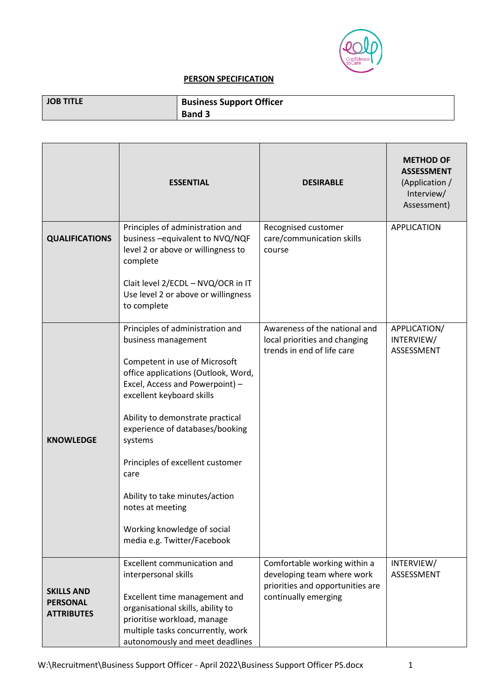

## **PERSON SPECIFICATION**

| <b>JOB TITLE</b> | <b>Business Support Officer</b> |
|------------------|---------------------------------|
|                  | <b>Band 3</b>                   |

|                                                           | <b>ESSENTIAL</b>                                                                                                                                                                                                                                                                                                                                                                                                                                  | <b>DESIRABLE</b>                                                                                                       | <b>METHOD OF</b><br><b>ASSESSMENT</b><br>(Application /<br>Interview/<br>Assessment) |
|-----------------------------------------------------------|---------------------------------------------------------------------------------------------------------------------------------------------------------------------------------------------------------------------------------------------------------------------------------------------------------------------------------------------------------------------------------------------------------------------------------------------------|------------------------------------------------------------------------------------------------------------------------|--------------------------------------------------------------------------------------|
| <b>QUALIFICATIONS</b>                                     | Principles of administration and<br>business - equivalent to NVQ/NQF<br>level 2 or above or willingness to<br>complete<br>Clait level 2/ECDL - NVQ/OCR in IT<br>Use level 2 or above or willingness<br>to complete                                                                                                                                                                                                                                | Recognised customer<br>care/communication skills<br>course                                                             | <b>APPLICATION</b>                                                                   |
| <b>KNOWLEDGE</b>                                          | Principles of administration and<br>business management<br>Competent in use of Microsoft<br>office applications (Outlook, Word,<br>Excel, Access and Powerpoint) -<br>excellent keyboard skills<br>Ability to demonstrate practical<br>experience of databases/booking<br>systems<br>Principles of excellent customer<br>care<br>Ability to take minutes/action<br>notes at meeting<br>Working knowledge of social<br>media e.g. Twitter/Facebook | Awareness of the national and<br>local priorities and changing<br>trends in end of life care                           | APPLICATION/<br>INTERVIEW/<br>ASSESSMENT                                             |
| <b>SKILLS AND</b><br><b>PERSONAL</b><br><b>ATTRIBUTES</b> | Excellent communication and<br>interpersonal skills<br>Excellent time management and<br>organisational skills, ability to<br>prioritise workload, manage<br>multiple tasks concurrently, work<br>autonomously and meet deadlines                                                                                                                                                                                                                  | Comfortable working within a<br>developing team where work<br>priorities and opportunities are<br>continually emerging | INTERVIEW/<br>ASSESSMENT                                                             |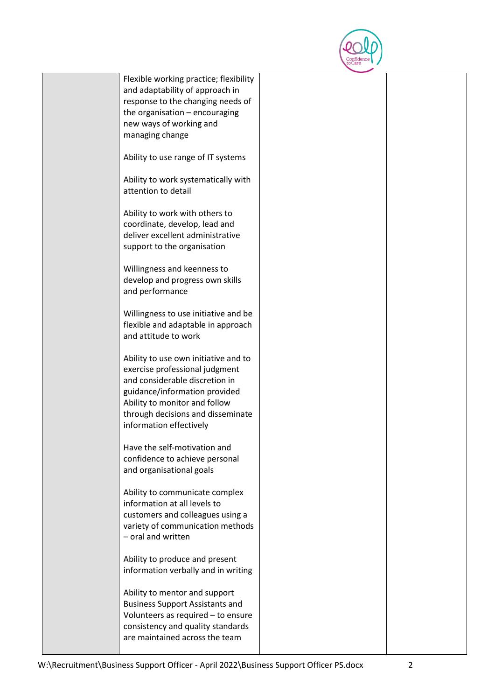

| Flexible working practice; flexibility                         |  |
|----------------------------------------------------------------|--|
| and adaptability of approach in                                |  |
| response to the changing needs of                              |  |
| the organisation $-$ encouraging                               |  |
| new ways of working and                                        |  |
| managing change                                                |  |
|                                                                |  |
| Ability to use range of IT systems                             |  |
|                                                                |  |
| Ability to work systematically with                            |  |
| attention to detail                                            |  |
| Ability to work with others to                                 |  |
| coordinate, develop, lead and                                  |  |
| deliver excellent administrative                               |  |
| support to the organisation                                    |  |
|                                                                |  |
| Willingness and keenness to                                    |  |
| develop and progress own skills                                |  |
| and performance                                                |  |
|                                                                |  |
| Willingness to use initiative and be                           |  |
| flexible and adaptable in approach                             |  |
| and attitude to work                                           |  |
|                                                                |  |
| Ability to use own initiative and to                           |  |
| exercise professional judgment                                 |  |
| and considerable discretion in                                 |  |
| guidance/information provided<br>Ability to monitor and follow |  |
| through decisions and disseminate                              |  |
| information effectively                                        |  |
|                                                                |  |
| Have the self-motivation and                                   |  |
| confidence to achieve personal                                 |  |
| and organisational goals                                       |  |
|                                                                |  |
| Ability to communicate complex                                 |  |
| information at all levels to                                   |  |
| customers and colleagues using a                               |  |
| variety of communication methods                               |  |
| - oral and written                                             |  |
| Ability to produce and present                                 |  |
| information verbally and in writing                            |  |
|                                                                |  |
| Ability to mentor and support                                  |  |
| <b>Business Support Assistants and</b>                         |  |
| Volunteers as required - to ensure                             |  |
| consistency and quality standards                              |  |
| are maintained across the team                                 |  |
|                                                                |  |